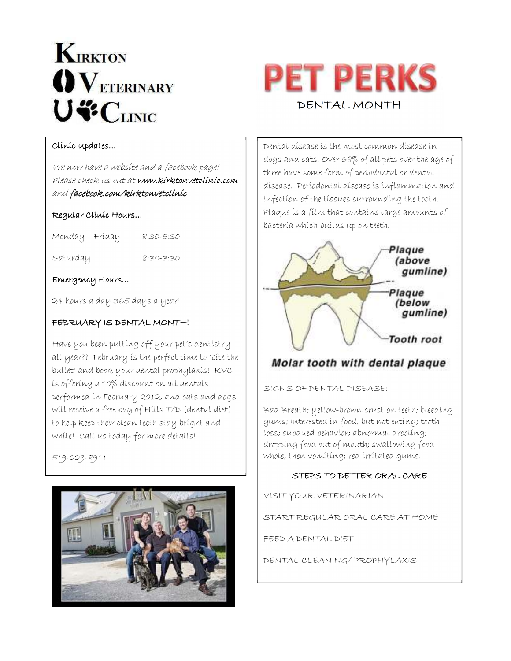# **KIRKTON**  $\mathbf{O}\mathbf{V}_{\text{ETERINARY}}$ U"CLINIC



#### Clinic Updates…

We now have a website and a facebook page! Please check us out at www.kirktonvetclinic.com and facebook.com/kirktonvetclinic

#### Regular Clínic Hours...

Monday – Friday 8:30-5:30

Saturday 8:30-3:30

Emergency Hours… Emergency Hours…

24 hours a day 365 days a year!

#### FEBRUARY IS DENTAL MONTH!

Have you been putting off your pet's dentistry all year?? February is the perfect time to 'bite the bullet' and book your dental prophylaxis! KVC is offering a 10% discount on all dentals performed in February 2012, and cats and dogs will receive a free bag of Hills T/D (dental diet) to help keep their clean teeth stay bright and white! Call us today for more details!

519-229-8911



Dental disease is the most common disease in dogs and cats. Over 68% of all pets over the age of three have some form of periodontal or dental disease. Periodontal disease is inflammation and infection of the tissues surrounding the tooth. Plaque is a film that contains large amounts of bacteria which builds up on teeth.



### Molar tooth with dental plaque

SIGNS OF DENTAL DISEASE:

Bad Breath; yellow-brown crust on teeth; bleeding gums; Interested in food, but not eating; tooth loss; subdued behavior; abnormal drooling; dropping food out of mouth; swallowing food whole, then vomiting; red irritated gums.

#### STEPS TO BETTER ORAL CARE

VISIT YOUR VETERINARIAN

START REGULAR ORAL CARE AT HOME

FEED A DENTAL DIET

DENTAL CLEANING/ PROPHYLAXIS